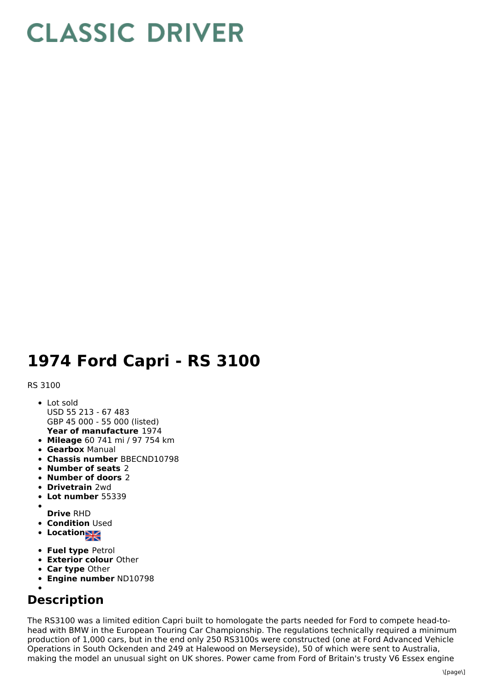## **CLASSIC DRIVER**

## **1974 Ford Capri - RS 3100**

## RS 3100

- **Year of manufacture** 1974 Lot sold USD 55 213 - 67 483 GBP 45 000 - 55 000 (listed)
- **Mileage** 60 741 mi / 97 754 km
- **Gearbox** Manual
- **Chassis number** BBECND10798
- **Number of seats** 2
- **Number of doors** 2
- **Drivetrain** 2wd
- **Lot number** 55339
- **Drive** RHD
- **Condition Used**
- **Location**
- **Fuel type** Petrol
- **Exterior colour** Other
- **Car type** Other
- **Engine number** ND10798
- 

## **Description**

The RS3100 was a limited edition Capri built to homologate the parts needed for Ford to compete head-tohead with BMW in the European Touring Car Championship. The regulations technically required a minimum production of 1,000 cars, but in the end only 250 RS3100s were constructed (one at Ford Advanced Vehicle Operations in South Ockenden and 249 at Halewood on Merseyside), 50 of which were sent to Australia, making the model an unusual sight on UK shores. Power came from Ford of Britain's trusty V6 Essex engine